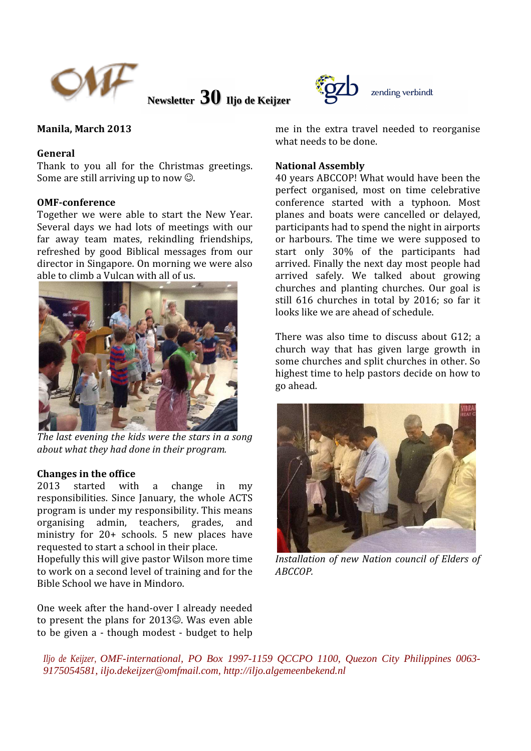

**Newsletter 30 Iljo de Keijzer** 



## Manila, March 2013

## General

Thank to you all for the Christmas greetings. Some are still arriving up to now  $\odot$ .

#### OMF-conference

Together we were able to start the New Year. Several days we had lots of meetings with our far away team mates, rekindling friendships, refreshed by good Biblical messages from our director in Singapore. On morning we were also able to climb a Vulcan with all of us.



The last evening the kids were the stars in a song about what they had done in their program.

#### Changes in the office

2013 started with a change in my responsibilities. Since January, the whole ACTS program is under my responsibility. This means organising admin, teachers, grades, and ministry for 20+ schools. 5 new places have requested to start a school in their place.

Hopefully this will give pastor Wilson more time to work on a second level of training and for the Bible School we have in Mindoro.

One week after the hand-over I already needed to present the plans for 2013☺. Was even able to be given a - though modest - budget to help me in the extra travel needed to reorganise what needs to be done.

#### National Assembly

40 years ABCCOP! What would have been the perfect organised, most on time celebrative conference started with a typhoon. Most planes and boats were cancelled or delayed, participants had to spend the night in airports or harbours. The time we were supposed to start only 30% of the participants had arrived. Finally the next day most people had arrived safely. We talked about growing churches and planting churches. Our goal is still 616 churches in total by 2016; so far it looks like we are ahead of schedule.

There was also time to discuss about G12; a church way that has given large growth in some churches and split churches in other. So highest time to help pastors decide on how to go ahead.



Installation of new Nation council of Elders of ABCCOP.

*Iljo de Keijzer, OMF-international, PO Box 1997-1159 QCCPO 1100, Quezon City Philippines 0063- 9175054581, iljo.dekeijzer@omfmail.com, http://iljo.algemeenbekend.nl*